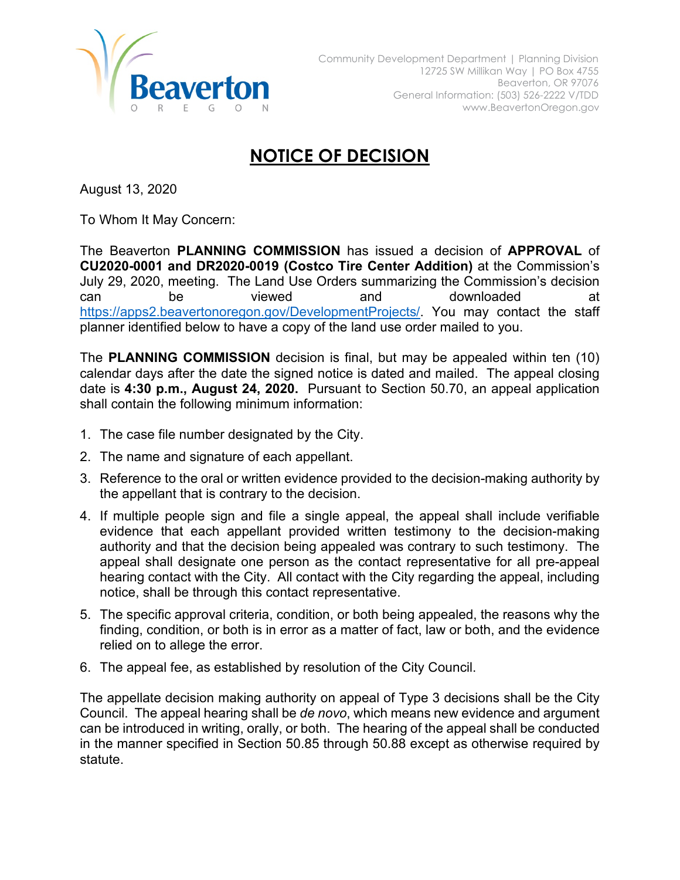

## **NOTICE OF DECISION**

August 13, 2020

To Whom It May Concern:

The Beaverton **PLANNING COMMISSION** has issued a decision of **APPROVAL** of **CU2020-0001 and DR2020-0019 (Costco Tire Center Addition)** at the Commission's July 29, 2020, meeting. The Land Use Orders summarizing the Commission's decision can be viewed and downloaded at https://apps2.beavertonoregon.gov/DevelopmentProjects/. You may contact the staff planner identified below to have a copy of the land use order mailed to you.

The **PLANNING COMMISSION** decision is final, but may be appealed within ten (10) calendar days after the date the signed notice is dated and mailed. The appeal closing date is **4:30 p.m., August 24, 2020.** Pursuant to Section 50.70, an appeal application shall contain the following minimum information:

- 1. The case file number designated by the City.
- 2. The name and signature of each appellant.
- 3. Reference to the oral or written evidence provided to the decision-making authority by the appellant that is contrary to the decision.
- 4. If multiple people sign and file a single appeal, the appeal shall include verifiable evidence that each appellant provided written testimony to the decision-making authority and that the decision being appealed was contrary to such testimony. The appeal shall designate one person as the contact representative for all pre-appeal hearing contact with the City. All contact with the City regarding the appeal, including notice, shall be through this contact representative.
- 5. The specific approval criteria, condition, or both being appealed, the reasons why the finding, condition, or both is in error as a matter of fact, law or both, and the evidence relied on to allege the error.
- 6. The appeal fee, as established by resolution of the City Council.

The appellate decision making authority on appeal of Type 3 decisions shall be the City Council. The appeal hearing shall be *de novo*, which means new evidence and argument can be introduced in writing, orally, or both. The hearing of the appeal shall be conducted in the manner specified in Section 50.85 through 50.88 except as otherwise required by statute.